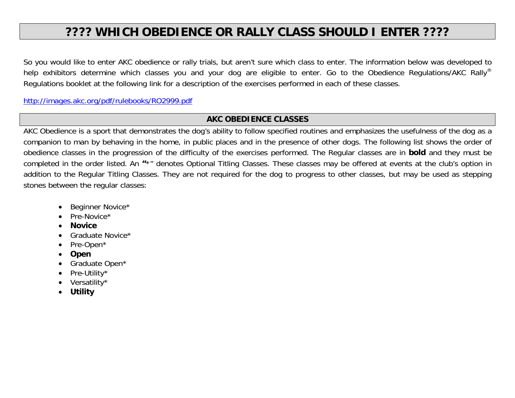## **???? WHICH OBEDIENCE OR RALLY CLASS SHOULD I ENTER ????**

So you would like to enter AKC obedience or rally trials, but aren't sure which class to enter. The information below was developed to help exhibitors determine which classes you and your dog are eligible to enter. Go to the Obedience Regulations/AKC Rally® Regulations booklet at the following link for a description of the exercises performed in each of these classes.

http://images.akc.org/pdf/rulebooks/RO2999.pdf

## **AKC OBEDIENCE CLASSES**

AKC Obedience is a sport that demonstrates the dog's ability to follow specified routines and emphasizes the usefulness of the dog as a companion to man by behaving in the home, in public places and in the presence of other dogs. The following list shows the order of obedience classes in the progression of the difficulty of the exercises performed. The Regular classes are in **bold** and they must be completed in the order listed. An **"**\*" denotes Optional Titling Classes. These classes may be offered at events at the club's option in addition to the Regular Titling Classes. They are not required for the dog to progress to other classes, but may be used as stepping stones between the regular classes:

- . Beginner Novice\*
- $\bullet$ Pre-Novice\*
- 0 **Novice**
- . Graduate Novice\*
- . Pre-Open\*
- $\bullet$ **Open**
- 0 Graduate Open\*
- 0 Pre-Utility\*
- . Versatility\*
- . **Utility**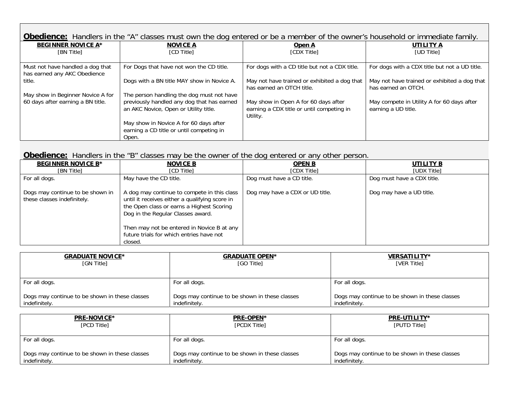| <b>Obedience:</b> Handlers in the "A" classes must own the dog entered or be a member of the owner's household or immediate family. |                                                                                     |                                                                                               |                                                                     |
|-------------------------------------------------------------------------------------------------------------------------------------|-------------------------------------------------------------------------------------|-----------------------------------------------------------------------------------------------|---------------------------------------------------------------------|
| <b>BEGINNER NOVICE A*</b>                                                                                                           | <b>NOVICE A</b>                                                                     | Open A                                                                                        | UTILITY A                                                           |
| [BN Title]                                                                                                                          | <b>ICD Titlel</b>                                                                   | <b>[CDX Title]</b>                                                                            | <b>TUD Titlel</b>                                                   |
|                                                                                                                                     |                                                                                     |                                                                                               |                                                                     |
| Must not have handled a dog that                                                                                                    | For Dogs that have not won the CD title.                                            | For dogs with a CD title but not a CDX title.                                                 | For dogs with a CDX title but not a UD title.                       |
| has earned any AKC Obedience                                                                                                        |                                                                                     |                                                                                               |                                                                     |
| title.                                                                                                                              | Dogs with a BN title MAY show in Novice A.                                          | May not have trained or exhibited a dog that<br>has earned an OTCH title.                     | May not have trained or exhibited a dog that<br>has earned an OTCH. |
| May show in Beginner Novice A for                                                                                                   | The person handling the dog must not have                                           |                                                                                               |                                                                     |
| 60 days after earning a BN title.                                                                                                   | previously handled any dog that has earned<br>an AKC Novice, Open or Utility title. | May show in Open A for 60 days after<br>earning a CDX title or until competing in<br>Utility. | May compete in Utility A for 60 days after<br>earning a UD title.   |
|                                                                                                                                     | May show in Novice A for 60 days after                                              |                                                                                               |                                                                     |
|                                                                                                                                     | earning a CD title or until competing in                                            |                                                                                               |                                                                     |
|                                                                                                                                     | Open.                                                                               |                                                                                               |                                                                     |

## **Obedience:** Handlers in the "B" classes may be the owner of the dog entered or any other person.

| <b>BEGINNER NOVICE B*</b>                                       | <b>NOVICE B</b>                                                                                                                                                                 | <b>OPEN B</b>                   | UTILITY B                  |
|-----------------------------------------------------------------|---------------------------------------------------------------------------------------------------------------------------------------------------------------------------------|---------------------------------|----------------------------|
| [BN Title]                                                      | <b>ICD Titlel</b>                                                                                                                                                               | [CDX Title]                     | <b>TUDX Title1</b>         |
| For all dogs.                                                   | May have the CD title.                                                                                                                                                          | Dog must have a CD title.       | Dog must have a CDX title. |
| Dogs may continue to be shown in<br>these classes indefinitely. | A dog may continue to compete in this class<br>until it receives either a qualifying score in<br>the Open class or earns a Highest Scoring<br>Dog in the Regular Classes award. | Dog may have a CDX or UD title. | Dog may have a UD title.   |
|                                                                 | Then may not be entered in Novice B at any<br>future trials for which entries have not                                                                                          |                                 |                            |
|                                                                 | closed.                                                                                                                                                                         |                                 |                            |

| <u>GRADUATE NOVICE*</u>                        | <b>GRADUATE OPEN*</b>                          | <b>VERSATILITY*</b>                            |
|------------------------------------------------|------------------------------------------------|------------------------------------------------|
| [GN Title]                                     | [GO Title]                                     | [VER Title]                                    |
| For all dogs.                                  | For all dogs.                                  | For all dogs.                                  |
| Dogs may continue to be shown in these classes | Dogs may continue to be shown in these classes | Dogs may continue to be shown in these classes |
| indefinitely.                                  | indefinitely.                                  | indefinitely.                                  |

| <b>PRE-NOVICE*</b>                             | PRE-OPEN*                                      | PRE-UTILITY*                                   |
|------------------------------------------------|------------------------------------------------|------------------------------------------------|
| [PCD Title]                                    | [PCDX Title]                                   | [PUTD Title]                                   |
| For all dogs.                                  | For all dogs.                                  | For all dogs.                                  |
| Dogs may continue to be shown in these classes | Dogs may continue to be shown in these classes | Dogs may continue to be shown in these classes |
| indefinitely.                                  | indefinitely.                                  | indefinitely.                                  |